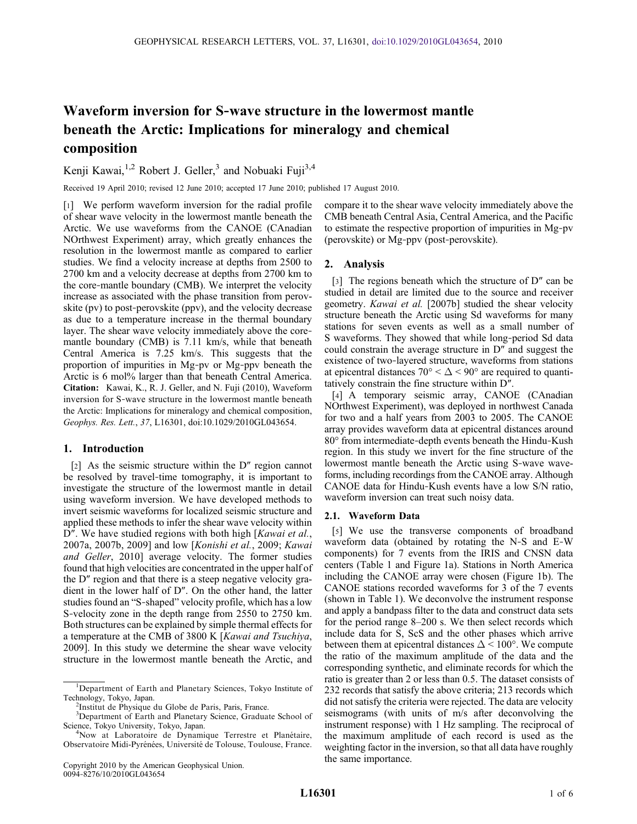# Waveform inversion for S‐wave structure in the lowermost mantle beneath the Arctic: Implications for mineralogy and chemical composition

Kenji Kawai,<sup>1,2</sup> Robert J. Geller,<sup>3</sup> and Nobuaki Fuji<sup>3,4</sup>

Received 19 April 2010; revised 12 June 2010; accepted 17 June 2010; published 17 August 2010.

[1] We perform waveform inversion for the radial profile of shear wave velocity in the lowermost mantle beneath the Arctic. We use waveforms from the CANOE (CAnadian NOrthwest Experiment) array, which greatly enhances the resolution in the lowermost mantle as compared to earlier studies. We find a velocity increase at depths from 2500 to 2700 km and a velocity decrease at depths from 2700 km to the core‐mantle boundary (CMB). We interpret the velocity increase as associated with the phase transition from perovskite (pv) to post-perovskite (ppv), and the velocity decrease as due to a temperature increase in the thermal boundary layer. The shear wave velocity immediately above the coremantle boundary (CMB) is 7.11 km/s, while that beneath Central America is 7.25 km/s. This suggests that the proportion of impurities in Mg‐pv or Mg‐ppv beneath the Arctic is 6 mol% larger than that beneath Central America. Citation: Kawai, K., R. J. Geller, and N. Fuji (2010), Waveform inversion for S‐wave structure in the lowermost mantle beneath the Arctic: Implications for mineralogy and chemical composition, Geophys. Res. Lett., 37, L16301, doi:10.1029/2010GL043654.

## 1. Introduction

[2] As the seismic structure within the D" region cannot be resolved by travel-time tomography, it is important to investigate the structure of the lowermost mantle in detail using waveform inversion. We have developed methods to invert seismic waveforms for localized seismic structure and applied these methods to infer the shear wave velocity within D". We have studied regions with both high [Kawai et al., 2007a, 2007b, 2009] and low [Konishi et al., 2009; Kawai and Geller, 2010] average velocity. The former studies found that high velocities are concentrated in the upper half of the D″ region and that there is a steep negative velocity gradient in the lower half of D″. On the other hand, the latter studies found an "S‐shaped" velocity profile, which has a low S-velocity zone in the depth range from 2550 to 2750 km. Both structures can be explained by simple thermal effects for a temperature at the CMB of 3800 K [Kawai and Tsuchiya, 2009]. In this study we determine the shear wave velocity structure in the lowermost mantle beneath the Arctic, and

compare it to the shear wave velocity immediately above the CMB beneath Central Asia, Central America, and the Pacific to estimate the respective proportion of impurities in Mg‐pv (perovskite) or Mg‐ppv (post‐perovskite).

### 2. Analysis

[3] The regions beneath which the structure of D" can be studied in detail are limited due to the source and receiver geometry. Kawai et al. [2007b] studied the shear velocity structure beneath the Arctic using Sd waveforms for many stations for seven events as well as a small number of S waveforms. They showed that while long‐period Sd data could constrain the average structure in D″ and suggest the existence of two‐layered structure, waveforms from stations at epicentral distances 70 $\degree$  <  $\triangle$  < 90 $\degree$  are required to quantitatively constrain the fine structure within D″.

[4] A temporary seismic array, CANOE (CAnadian NOrthwest Experiment), was deployed in northwest Canada for two and a half years from 2003 to 2005. The CANOE array provides waveform data at epicentral distances around 80° from intermediate‐depth events beneath the Hindu‐Kush region. In this study we invert for the fine structure of the lowermost mantle beneath the Arctic using S‐wave waveforms, including recordings from the CANOE array. Although CANOE data for Hindu‐Kush events have a low S/N ratio, waveform inversion can treat such noisy data.

#### 2.1. Waveform Data

[5] We use the transverse components of broadband waveform data (obtained by rotating the N‐S and E‐W components) for 7 events from the IRIS and CNSN data centers (Table 1 and Figure 1a). Stations in North America including the CANOE array were chosen (Figure 1b). The CANOE stations recorded waveforms for 3 of the 7 events (shown in Table 1). We deconvolve the instrument response and apply a bandpass filter to the data and construct data sets for the period range 8–200 s. We then select records which include data for S, ScS and the other phases which arrive between them at epicentral distances  $\Delta$  < 100°. We compute the ratio of the maximum amplitude of the data and the corresponding synthetic, and eliminate records for which the ratio is greater than 2 or less than 0.5. The dataset consists of 232 records that satisfy the above criteria; 213 records which did not satisfy the criteria were rejected. The data are velocity seismograms (with units of m/s after deconvolving the instrument response) with 1 Hz sampling. The reciprocal of the maximum amplitude of each record is used as the weighting factor in the inversion, so that all data have roughly the same importance.

<sup>&</sup>lt;sup>1</sup>Department of Earth and Planetary Sciences, Tokyo Institute of Technology, Tokyo, Japan. <sup>2</sup>

<sup>&</sup>lt;sup>2</sup>Institut de Physique du Globe de Paris, Paris, France.

<sup>&</sup>lt;sup>3</sup>Department of Earth and Planetary Science, Graduate School of Science, Tokyo University, Tokyo, Japan. <sup>4</sup>

<sup>&</sup>lt;sup>4</sup>Now at Laboratoire de Dynamique Terrestre et Planétaire, Observatoire Midi-Pyrénées, Université de Tolouse, Toulouse, France.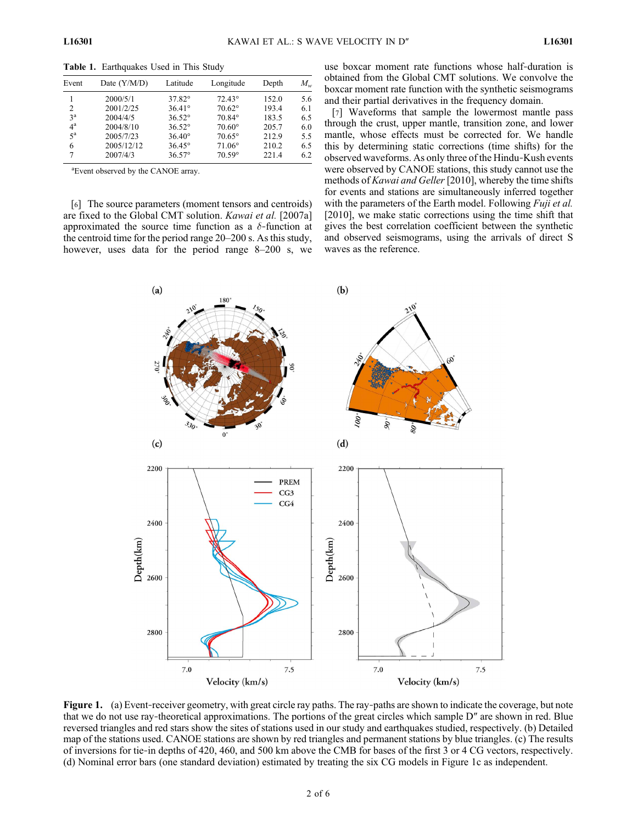| Event            | Date $(Y/M/D)$ | Latitude        | Longitude       | Depth | $M_{w}$ |
|------------------|----------------|-----------------|-----------------|-------|---------|
|                  | 2000/5/1       | 37.82°          | $72.43^{\circ}$ | 152.0 | 5.6     |
| $\overline{c}$   | 2001/2/25      | $36.41^{\circ}$ | $70.62^\circ$   | 193.4 | 6.1     |
| 3 <sup>a</sup>   | 2004/4/5       | $36.52^{\circ}$ | 70.84°          | 183.5 | 6.5     |
| $4^{\rm a}$      | 2004/8/10      | $36.52^{\circ}$ | $70.60^{\circ}$ | 205.7 | 6.0     |
| $5^{\mathrm{a}}$ | 2005/7/23      | $36.40^{\circ}$ | $70.65^\circ$   | 212.9 | 5.5     |
| 6                | 2005/12/12     | $36.45^{\circ}$ | $71.06^\circ$   | 210.2 | 6.5     |
| 7                | 2007/4/3       | $36.57^{\circ}$ | $70.59^{\circ}$ | 221.4 | 6.2     |

Table 1. Earthquakes Used in This Study

a Event observed by the CANOE array.

[6] The source parameters (moment tensors and centroids) are fixed to the Global CMT solution. Kawai et al. [2007a] approximated the source time function as a  $\delta$ -function at the centroid time for the period range 20–200 s. As this study, however, uses data for the period range 8–200 s, we use boxcar moment rate functions whose half‐duration is obtained from the Global CMT solutions. We convolve the boxcar moment rate function with the synthetic seismograms and their partial derivatives in the frequency domain.

[7] Waveforms that sample the lowermost mantle pass through the crust, upper mantle, transition zone, and lower mantle, whose effects must be corrected for. We handle this by determining static corrections (time shifts) for the observed waveforms. As only three of the Hindu‐Kush events were observed by CANOE stations, this study cannot use the methods of Kawai and Geller [2010], whereby the time shifts for events and stations are simultaneously inferred together with the parameters of the Earth model. Following *Fuji et al.* [2010], we make static corrections using the time shift that gives the best correlation coefficient between the synthetic and observed seismograms, using the arrivals of direct S waves as the reference.



Figure 1. (a) Event-receiver geometry, with great circle ray paths. The ray-paths are shown to indicate the coverage, but note that we do not use ray‐theoretical approximations. The portions of the great circles which sample D″ are shown in red. Blue reversed triangles and red stars show the sites of stations used in our study and earthquakes studied, respectively. (b) Detailed map of the stations used. CANOE stations are shown by red triangles and permanent stations by blue triangles. (c) The results of inversions for tie‐in depths of 420, 460, and 500 km above the CMB for bases of the first 3 or 4 CG vectors, respectively. (d) Nominal error bars (one standard deviation) estimated by treating the six CG models in Figure 1c as independent.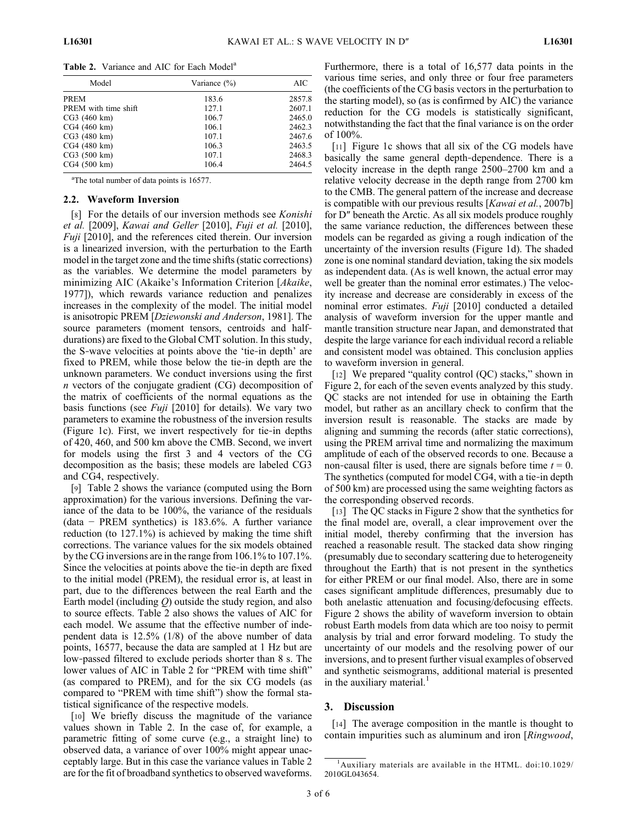|  | <b>Table 2.</b> Variance and AIC for Each Model <sup>a</sup> |  |
|--|--------------------------------------------------------------|--|
|  |                                                              |  |

| Model                | Variance $(\% )$ | AIC    |
|----------------------|------------------|--------|
| <b>PREM</b>          | 183.6            | 2857.8 |
| PREM with time shift | 127.1            | 2607.1 |
| CG3 (460 km)         | 106.7            | 2465.0 |
| CG4 (460 km)         | 106.1            | 2462.3 |
| CG3 (480 km)         | 107.1            | 2467.6 |
| CG4 (480 km)         | 106.3            | 2463.5 |
| CG3 (500 km)         | 107.1            | 2468.3 |
| CG4 (500 km)         | 106.4            | 2464.5 |

<sup>a</sup>The total number of data points is 16577.

#### 2.2. Waveform Inversion

[8] For the details of our inversion methods see *Konishi* et al. [2009], Kawai and Geller [2010], Fuji et al. [2010], Fuji [2010], and the references cited therein. Our inversion is a linearized inversion, with the perturbation to the Earth model in the target zone and the time shifts (static corrections) as the variables. We determine the model parameters by minimizing AIC (Akaike's Information Criterion [Akaike, 1977]), which rewards variance reduction and penalizes increases in the complexity of the model. The initial model is anisotropic PREM [Dziewonski and Anderson, 1981]. The source parameters (moment tensors, centroids and halfdurations) are fixed to the Global CMT solution. In this study, the S‐wave velocities at points above the 'tie‐in depth' are fixed to PREM, while those below the tie‐in depth are the unknown parameters. We conduct inversions using the first n vectors of the conjugate gradient (CG) decomposition of the matrix of coefficients of the normal equations as the basis functions (see  $Fui$  [2010] for details). We vary two parameters to examine the robustness of the inversion results (Figure 1c). First, we invert respectively for tie‐in depths of 420, 460, and 500 km above the CMB. Second, we invert for models using the first 3 and 4 vectors of the CG decomposition as the basis; these models are labeled CG3 and CG4, respectively.

[9] Table 2 shows the variance (computed using the Born approximation) for the various inversions. Defining the variance of the data to be 100%, the variance of the residuals (data − PREM synthetics) is 183.6%. A further variance reduction (to 127.1%) is achieved by making the time shift corrections. The variance values for the six models obtained by the CG inversions are in the range from 106.1% to 107.1%. Since the velocities at points above the tie‐in depth are fixed to the initial model (PREM), the residual error is, at least in part, due to the differences between the real Earth and the Earth model (including  $Q$ ) outside the study region, and also to source effects. Table 2 also shows the values of AIC for each model. We assume that the effective number of independent data is 12.5% (1/8) of the above number of data points, 16577, because the data are sampled at 1 Hz but are low‐passed filtered to exclude periods shorter than 8 s. The lower values of AIC in Table 2 for "PREM with time shift" (as compared to PREM), and for the six CG models (as compared to "PREM with time shift") show the formal statistical significance of the respective models.

[10] We briefly discuss the magnitude of the variance values shown in Table 2. In the case of, for example, a parametric fitting of some curve (e.g., a straight line) to observed data, a variance of over 100% might appear unacceptably large. But in this case the variance values in Table 2 are for the fit of broadband synthetics to observed waveforms. Furthermore, there is a total of 16,577 data points in the various time series, and only three or four free parameters (the coefficients of the CG basis vectors in the perturbation to the starting model), so (as is confirmed by AIC) the variance reduction for the CG models is statistically significant, notwithstanding the fact that the final variance is on the order of 100%.

[11] Figure 1c shows that all six of the CG models have basically the same general depth‐dependence. There is a velocity increase in the depth range 2500–2700 km and a relative velocity decrease in the depth range from 2700 km to the CMB. The general pattern of the increase and decrease is compatible with our previous results [Kawai et al., 2007b] for D″ beneath the Arctic. As all six models produce roughly the same variance reduction, the differences between these models can be regarded as giving a rough indication of the uncertainty of the inversion results (Figure 1d). The shaded zone is one nominal standard deviation, taking the six models as independent data. (As is well known, the actual error may well be greater than the nominal error estimates.) The velocity increase and decrease are considerably in excess of the nominal error estimates. Fuji [2010] conducted a detailed analysis of waveform inversion for the upper mantle and mantle transition structure near Japan, and demonstrated that despite the large variance for each individual record a reliable and consistent model was obtained. This conclusion applies to waveform inversion in general.

[12] We prepared "quality control (QC) stacks," shown in Figure 2, for each of the seven events analyzed by this study. QC stacks are not intended for use in obtaining the Earth model, but rather as an ancillary check to confirm that the inversion result is reasonable. The stacks are made by aligning and summing the records (after static corrections), using the PREM arrival time and normalizing the maximum amplitude of each of the observed records to one. Because a non-causal filter is used, there are signals before time  $t = 0$ . The synthetics (computed for model CG4, with a tie‐in depth of 500 km) are processed using the same weighting factors as the corresponding observed records.

[13] The QC stacks in Figure 2 show that the synthetics for the final model are, overall, a clear improvement over the initial model, thereby confirming that the inversion has reached a reasonable result. The stacked data show ringing (presumably due to secondary scattering due to heterogeneity throughout the Earth) that is not present in the synthetics for either PREM or our final model. Also, there are in some cases significant amplitude differences, presumably due to both anelastic attenuation and focusing/defocusing effects. Figure 2 shows the ability of waveform inversion to obtain robust Earth models from data which are too noisy to permit analysis by trial and error forward modeling. To study the uncertainty of our models and the resolving power of our inversions, and to present further visual examples of observed and synthetic seismograms, additional material is presented in the auxiliary material.<sup>1</sup>

#### 3. Discussion

[14] The average composition in the mantle is thought to contain impurities such as aluminum and iron [Ringwood,

<sup>1</sup> Auxiliary materials are available in the HTML. doi:10.1029/ 2010GL043654.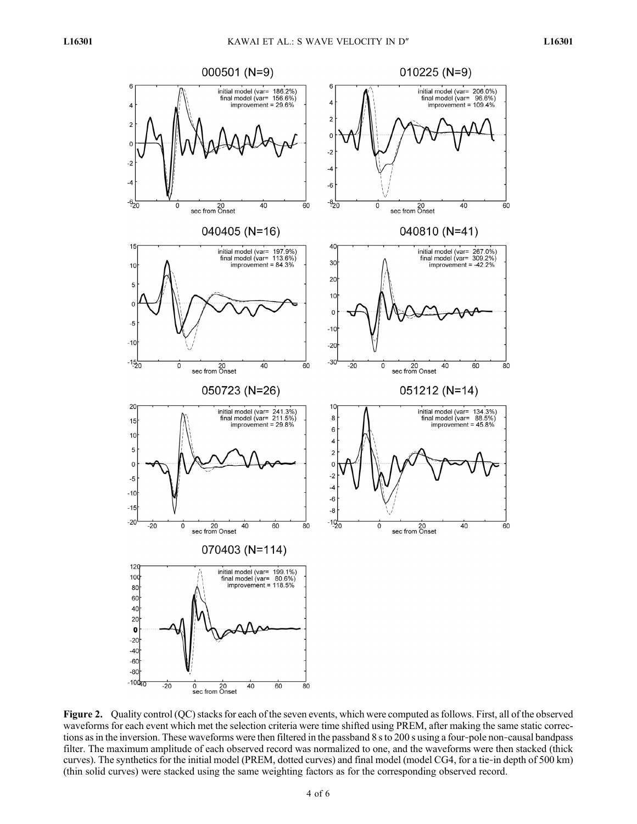

Figure 2. Quality control (QC) stacks for each of the seven events, which were computed as follows. First, all of the observed waveforms for each event which met the selection criteria were time shifted using PREM, after making the same static corrections as in the inversion. These waveforms were then filtered in the passband 8 s to 200 s using a four-pole non-causal bandpass filter. The maximum amplitude of each observed record was normalized to one, and the waveforms were then stacked (thick curves). The synthetics for the initial model (PREM, dotted curves) and final model (model CG4, for a tie-in depth of 500 km) (thin solid curves) were stacked using the same weighting factors as for the corresponding observed record.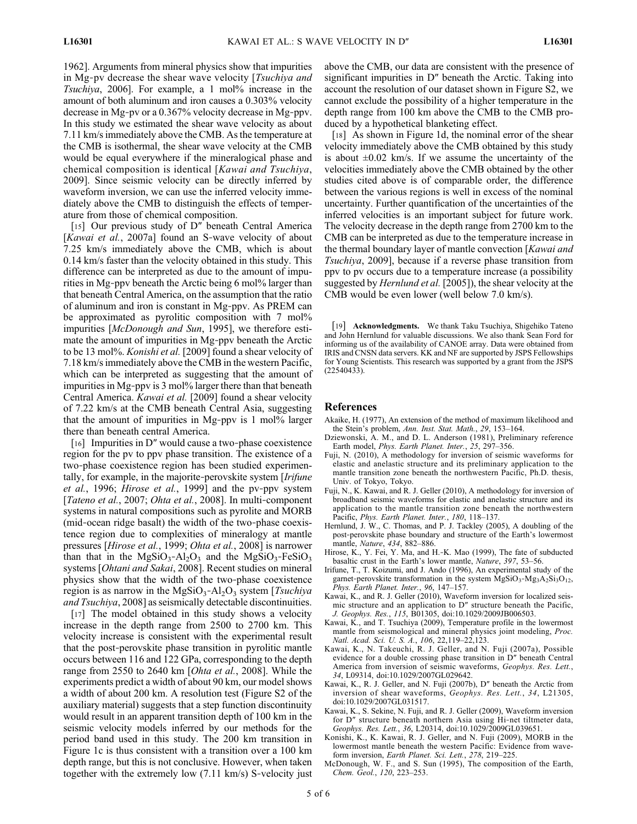1962]. Arguments from mineral physics show that impurities in Mg-pv decrease the shear wave velocity [Tsuchiya and Tsuchiya, 2006]. For example, a 1 mol% increase in the amount of both aluminum and iron causes a 0.303% velocity decrease in Mg‐pv or a 0.367% velocity decrease in Mg‐ppv. In this study we estimated the shear wave velocity as about 7.11 km/s immediately above the CMB. As the temperature at the CMB is isothermal, the shear wave velocity at the CMB would be equal everywhere if the mineralogical phase and chemical composition is identical [Kawai and Tsuchiya, 2009]. Since seismic velocity can be directly inferred by waveform inversion, we can use the inferred velocity immediately above the CMB to distinguish the effects of temperature from those of chemical composition.

[15] Our previous study of D" beneath Central America [Kawai et al., 2007a] found an S-wave velocity of about 7.25 km/s immediately above the CMB, which is about 0.14 km/s faster than the velocity obtained in this study. This difference can be interpreted as due to the amount of impurities in Mg‐ppv beneath the Arctic being 6 mol% larger than that beneath Central America, on the assumption that the ratio of aluminum and iron is constant in Mg‐ppv. As PREM can be approximated as pyrolitic composition with 7 mol% impurities [McDonough and Sun, 1995], we therefore estimate the amount of impurities in Mg‐ppv beneath the Arctic to be 13 mol%. *Konishi et al.* [2009] found a shear velocity of 7.18 km/s immediately above the CMB in the western Pacific, which can be interpreted as suggesting that the amount of impurities in Mg‐ppv is 3 mol% larger there than that beneath Central America. Kawai et al. [2009] found a shear velocity of 7.22 km/s at the CMB beneath Central Asia, suggesting that the amount of impurities in Mg‐ppv is 1 mol% larger there than beneath central America.

[16] Impurities in D" would cause a two-phase coexistence region for the pv to ppv phase transition. The existence of a two‐phase coexistence region has been studied experimentally, for example, in the majorite-perovskite system [*Irifune* et al., 1996; Hirose et al., 1999] and the pv-ppv system [Tateno et al., 2007; Ohta et al., 2008]. In multi-component systems in natural compositions such as pyrolite and MORB (mid‐ocean ridge basalt) the width of the two‐phase coexistence region due to complexities of mineralogy at mantle pressures [Hirose et al., 1999; Ohta et al., 2008] is narrower than that in the MgSiO<sub>3</sub>-Al<sub>2</sub>O<sub>3</sub> and the MgSiO<sub>3</sub>-FeSiO<sub>3</sub> systems [Ohtani and Sakai, 2008]. Recent studies on mineral physics show that the width of the two‐phase coexistence region is as narrow in the MgSiO<sub>3</sub>-Al<sub>2</sub>O<sub>3</sub> system [*Tsuchiya* and Tsuchiya, 2008] as seismically detectable discontinuities.

[17] The model obtained in this study shows a velocity increase in the depth range from 2500 to 2700 km. This velocity increase is consistent with the experimental result that the post‐perovskite phase transition in pyrolitic mantle occurs between 116 and 122 GPa, corresponding to the depth range from 2550 to 2640 km [Ohta et al., 2008]. While the experiments predict a width of about 90 km, our model shows a width of about 200 km. A resolution test (Figure S2 of the auxiliary material) suggests that a step function discontinuity would result in an apparent transition depth of 100 km in the seismic velocity models inferred by our methods for the period band used in this study. The 200 km transition in Figure 1c is thus consistent with a transition over a 100 km depth range, but this is not conclusive. However, when taken together with the extremely low (7.11 km/s) S‐velocity just

above the CMB, our data are consistent with the presence of significant impurities in D″ beneath the Arctic. Taking into account the resolution of our dataset shown in Figure S2, we cannot exclude the possibility of a higher temperature in the depth range from 100 km above the CMB to the CMB produced by a hypothetical blanketing effect.

[18] As shown in Figure 1d, the nominal error of the shear velocity immediately above the CMB obtained by this study is about  $\pm 0.02$  km/s. If we assume the uncertainty of the velocities immediately above the CMB obtained by the other studies cited above is of comparable order, the difference between the various regions is well in excess of the nominal uncertainty. Further quantification of the uncertainties of the inferred velocities is an important subject for future work. The velocity decrease in the depth range from 2700 km to the CMB can be interpreted as due to the temperature increase in the thermal boundary layer of mantle convection [Kawai and Tsuchiya, 2009], because if a reverse phase transition from ppv to pv occurs due to a temperature increase (a possibility suggested by Hernlund et al. [2005]), the shear velocity at the CMB would be even lower (well below 7.0 km/s).

[19] Acknowledgments. We thank Taku Tsuchiya, Shigehiko Tateno and John Hernlund for valuable discussions. We also thank Sean Ford for informing us of the availability of CANOE array. Data were obtained from IRIS and CNSN data servers. KK and NF are supported by JSPS Fellowships for Young Scientists. This research was supported by a grant from the JSPS (22540433).

#### References

- Akaike, H. (1977), An extension of the method of maximum likelihood and the Stein's problem, Ann. Inst. Stat. Math., 29, 153-164.
- Dziewonski, A. M., and D. L. Anderson (1981), Preliminary reference Earth model, Phys. Earth Planet. Inter., 25, 297–356.
- Fuji, N. (2010), A methodology for inversion of seismic waveforms for elastic and anelastic structure and its preliminary application to the mantle transition zone beneath the northwestern Pacific, Ph.D. thesis, Univ. of Tokyo, Tokyo.
- Fuji, N., K. Kawai, and R. J. Geller (2010), A methodology for inversion of broadband seismic waveforms for elastic and anelastic structure and its application to the mantle transition zone beneath the northwestern Pacific, Phys. Earth Planet. Inter., 180, 118–137.
- Hernlund, J. W., C. Thomas, and P. J. Tackley (2005), A doubling of the post‐perovskite phase boundary and structure of the Earth's lowermost mantle, Nature, 434, 882–886.
- Hirose, K., Y. Fei, Y. Ma, and H.‐K. Mao (1999), The fate of subducted basaltic crust in the Earth's lower mantle, Nature, 397, 53–56.
- Irifune, T., T. Koizumi, and J. Ando (1996), An experimental study of the garnet-perovskite transformation in the system  $\text{MgSiO}_3$ - $\text{Mg}_3\text{A}_2\text{Si}_3\text{O}_{12}$ , Phys. Earth Planet. Inter., 96, 147–157.
- Kawai, K., and R. J. Geller (2010), Waveform inversion for localized seismic structure and an application to D″ structure beneath the Pacific, J. Geophys. Res., 115, B01305, doi:10.1029/2009JB006503.
- Kawai, K., and T. Tsuchiya (2009), Temperature profile in the lowermost mantle from seismological and mineral physics joint modeling, Proc. Natl. Acad. Sci. U. S. A., 106, 22,119–22,123.
- Kawai, K., N. Takeuchi, R. J. Geller, and N. Fuji (2007a), Possible evidence for a double crossing phase transition in D″ beneath Central America from inversion of seismic waveforms, Geophys. Res. Lett., 34, L09314, doi:10.1029/2007GL029642.
- Kawai, K., R. J. Geller, and N. Fuji (2007b), D″ beneath the Arctic from inversion of shear waveforms, Geophys. Res. Lett., 34, L21305, doi:10.1029/2007GL031517.
- Kawai, K., S. Sekine, N. Fuji, and R. J. Geller (2009), Waveform inversion for D″ structure beneath northern Asia using Hi‐net tiltmeter data, Geophys. Res. Lett., 36, L20314, doi:10.1029/2009GL039651.
- Konishi, K., K. Kawai, R. J. Geller, and N. Fuji (2009), MORB in the lowermost mantle beneath the western Pacific: Evidence from waveform inversion, Earth Planet. Sci. Lett., 278, 219-225.
- McDonough, W. F., and S. Sun (1995), The composition of the Earth, Chem. Geol., 120, 223–253.